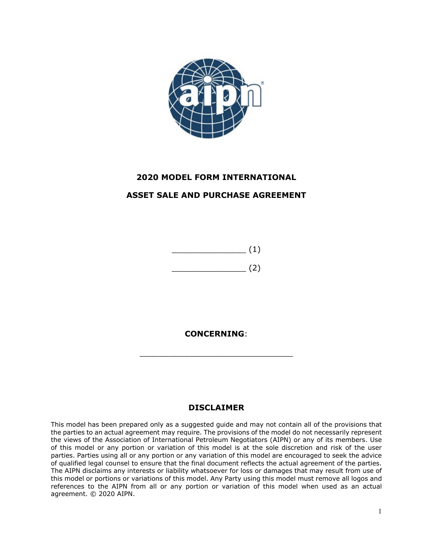

## **2020 MODEL FORM INTERNATIONAL ASSET SALE AND PURCHASE AGREEMENT**



**CONCERNING**:

\_\_\_\_\_\_\_\_\_\_\_\_\_\_\_\_\_\_\_\_\_\_\_\_\_\_\_\_\_\_\_

## **DISCLAIMER**

This model has been prepared only as a suggested guide and may not contain all of the provisions that the parties to an actual agreement may require. The provisions of the model do not necessarily represent the views of the Association of International Petroleum Negotiators (AIPN) or any of its members. Use of this model or any portion or variation of this model is at the sole discretion and risk of the user parties. Parties using all or any portion or any variation of this model are encouraged to seek the advice of qualified legal counsel to ensure that the final document reflects the actual agreement of the parties. The AIPN disclaims any interests or liability whatsoever for loss or damages that may result from use of this model or portions or variations of this model. Any Party using this model must remove all logos and references to the AIPN from all or any portion or variation of this model when used as an actual agreement. © 2020 AIPN.